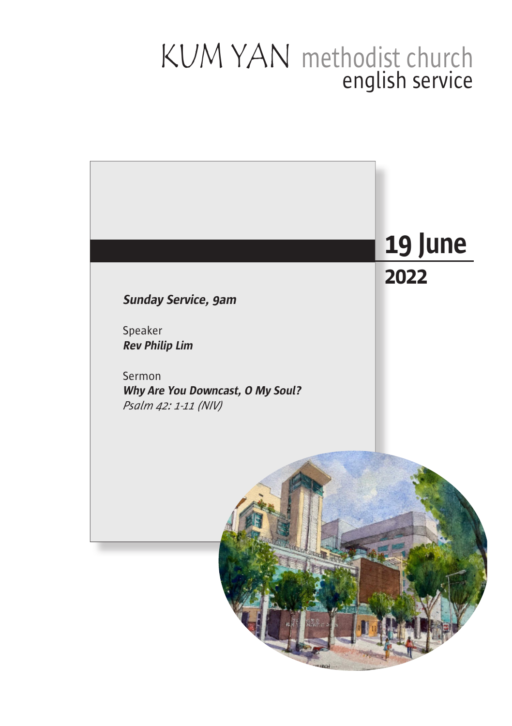### KUM YAN english service methodist church

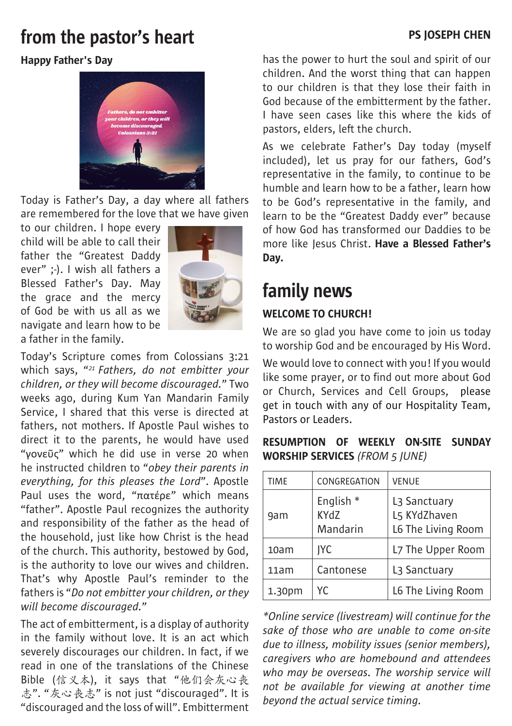# **From the pastor's heart Example 20 For the pastor's heart**

#### Happy Father's Day



Today is Father's Day, a day where all fathers are remembered for the love that we have given

to our children. I hope every child will be able to call their father the "Greatest Daddy ever" ;-). I wish all fathers a Blessed Father's Day. May the grace and the mercy of God be with us all as we navigate and learn how to be a father in the family.



Today's Scripture comes from Colossians 3:21 which says, "*21 Fathers, do not embitter your children, or they will become discouraged.*" Two weeks ago, during Kum Yan Mandarin Family Service, I shared that this verse is directed at fathers, not mothers. If Apostle Paul wishes to direct it to the parents, he would have used "γονεῦς" which he did use in verse 20 when he instructed children to "*obey their parents in everything, for this pleases the Lord*". Apostle Paul uses the word, "πατέρε" which means "father". Apostle Paul recognizes the authority and responsibility of the father as the head of the household, just like how Christ is the head of the church. This authority, bestowed by God, is the authority to love our wives and children. That's why Apostle Paul's reminder to the fathers is "*Do not embitter your children, or they will become discouraged.*"

The act of embitterment, is a display of authority in the family without love. It is an act which severely discourages our children. In fact, if we read in one of the translations of the Chinese Bible (信义本), it says that "他们会灰心丧 志". "灰心丧志" is not just "discouraged". It is "discouraged and the loss of will". Embitterment

has the power to hurt the soul and spirit of our children. And the worst thing that can happen to our children is that they lose their faith in God because of the embitterment by the father. I have seen cases like this where the kids of pastors, elders, left the church.

As we celebrate Father's Day today (myself included), let us pray for our fathers, God's representative in the family, to continue to be humble and learn how to be a father, learn how to be God's representative in the family, and learn to be the "Greatest Daddy ever" because of how God has transformed our Daddies to be more like Jesus Christ. Have a Blessed Father's Day.

# family news

#### WELCOME TO CHURCH!

We are so glad you have come to join us today to worship God and be encouraged by His Word.

We would love to connect with you! If you would like some prayer, or to find out more about God or Church, Services and Cell Groups, please get in touch with any of our Hospitality Team, Pastors or Leaders.

#### RESUMPTION OF WEEKLY ON-SITE SUNDAY WORSHIP SERVICES *(FROM 5 JUNE)*

| <b>TIME</b> | CONGREGATION                             | <b>VENUE</b>                                                   |
|-------------|------------------------------------------|----------------------------------------------------------------|
| 9am         | English <sup>*</sup><br>KYdZ<br>Mandarin | L <sub>3</sub> Sanctuary<br>L5 KYdZhaven<br>L6 The Living Room |
| 10am        | <b>IYC</b>                               | L7 The Upper Room                                              |
| 11am        | Cantonese                                | L <sub>3</sub> Sanctuary                                       |
| 1.30pm      | YC.                                      | L6 The Living Room                                             |

*\*Online service (livestream) will continue for the sake of those who are unable to come on-site due to illness, mobility issues (senior members), caregivers who are homebound and attendees who may be overseas. The worship service will not be available for viewing at another time beyond the actual service timing.*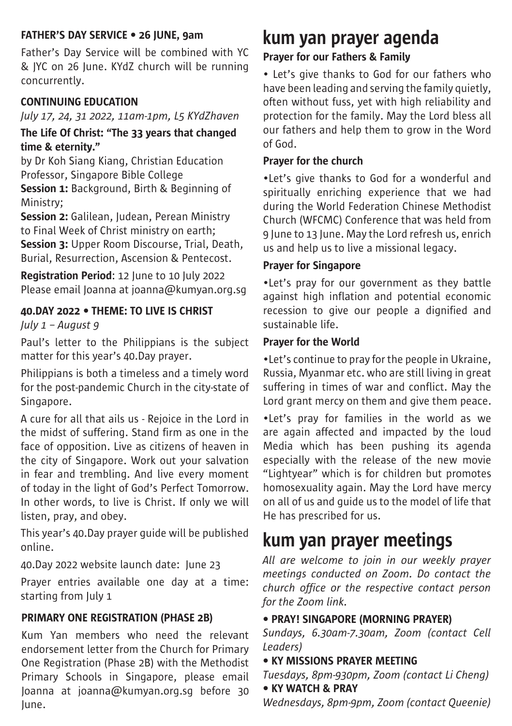#### FATHER'S DAY SERVICE • 26 JUNE, 9am

Father's Day Service will be combined with YC & JYC on 26 June. KYdZ church will be running concurrently.

#### CONTINUING EDUCATION

*July 17, 24, 31 2022, 11am-1pm, L5 KYdZhaven*

#### The Life Of Christ: "The 33 years that changed time & eternity."

by Dr Koh Siang Kiang, Christian Education Professor, Singapore Bible College

Session 1: Background, Birth & Beginning of Ministry;

Session 2: Galilean, Judean, Perean Ministry to Final Week of Christ ministry on earth; Session 3: Upper Room Discourse, Trial, Death, Burial, Resurrection, Ascension & Pentecost.

Registration Period: 12 June to 10 July 2022 Please email Joanna at joanna@kumyan.org.sg

#### 40.DAY 2022 • THEME: TO LIVE IS CHRIST

*July 1 – August 9*

Paul's letter to the Philippians is the subject matter for this year's 40.Day prayer.

Philippians is both a timeless and a timely word for the post-pandemic Church in the city-state of Singapore.

A cure for all that ails us - Rejoice in the Lord in the midst of suffering. Stand firm as one in the face of opposition. Live as citizens of heaven in the city of Singapore. Work out your salvation in fear and trembling. And live every moment of today in the light of God's Perfect Tomorrow. In other words, to live is Christ. If only we will listen, pray, and obey.

This year's 40.Day prayer guide will be published online.

40.Day 2022 website launch date: June 23

Prayer entries available one day at a time: starting from July 1

#### PRIMARY ONE REGISTRATION (PHASE 2B)

Kum Yan members who need the relevant endorsement letter from the Church for Primary One Registration (Phase 2B) with the Methodist Primary Schools in Singapore, please email Joanna at joanna@kumyan.org.sg before 30 June.

# kum yan prayer agenda

### Prayer for our Fathers & Family

• Let's give thanks to God for our fathers who have been leading and serving the family quietly, often without fuss, yet with high reliability and protection for the family. May the Lord bless all our fathers and help them to grow in the Word of God.

#### Prayer for the church

•Let's give thanks to God for a wonderful and spiritually enriching experience that we had during the World Federation Chinese Methodist Church (WFCMC) Conference that was held from 9 June to 13 June. May the Lord refresh us, enrich us and help us to live a missional legacy.

#### Prayer for Singapore

•Let's pray for our government as they battle against high inflation and potential economic recession to give our people a dignified and sustainable life.

#### Prayer for the World

•Let's continue to pray for the people in Ukraine, Russia, Myanmar etc. who are still living in great suffering in times of war and conflict. May the Lord grant mercy on them and give them peace.

•Let's pray for families in the world as we are again affected and impacted by the loud Media which has been pushing its agenda especially with the release of the new movie "Lightyear" which is for children but promotes homosexuality again. May the Lord have mercy on all of us and guide us to the model of life that He has prescribed for us.

# kum yan prayer meetings

*All are welcome to join in our weekly prayer meetings conducted on Zoom. Do contact the church office or the respective contact person for the Zoom link.* 

#### • PRAY! SINGAPORE (MORNING PRAYER)

*Sundays, 6.30am-7.30am, Zoom (contact Cell Leaders)*

#### • KY MISSIONS PRAYER MEETING

*Tuesdays, 8pm-930pm, Zoom (contact Li Cheng)* • KY WATCH & PRAY

*Wednesdays, 8pm-9pm, Zoom (contact Queenie)*